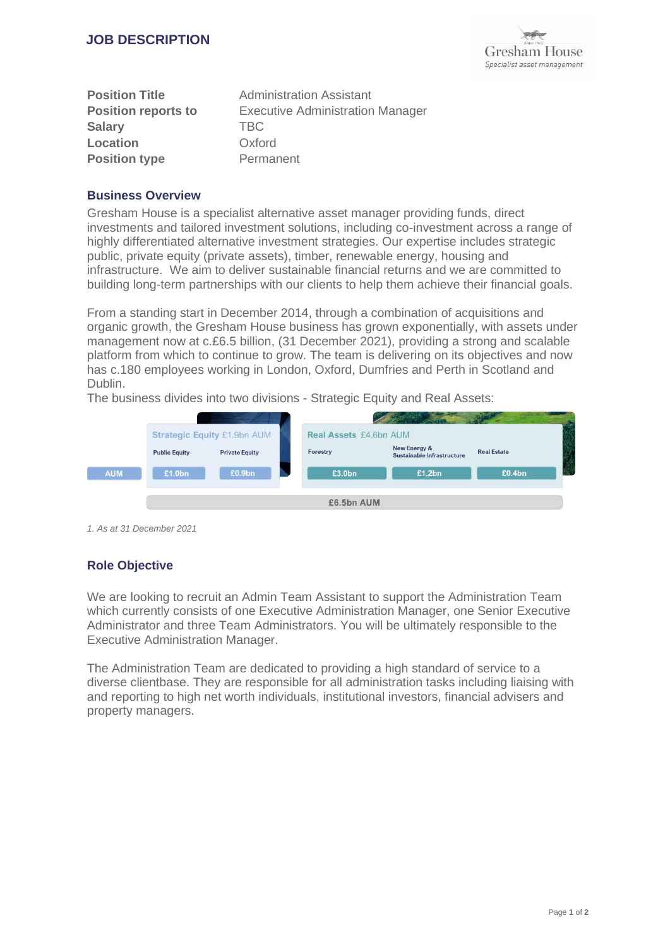

| <b>Position Title</b>      | <b>Administration Assistant</b>         |
|----------------------------|-----------------------------------------|
| <b>Position reports to</b> | <b>Executive Administration Manager</b> |
| <b>Salary</b>              | TBC.                                    |
| Location                   | Oxford                                  |
| <b>Position type</b>       | Permanent                               |

## **Business Overview**

Gresham House is a specialist alternative asset manager providing funds, direct investments and tailored investment solutions, including co-investment across a range of highly differentiated alternative investment strategies. Our expertise includes strategic public, private equity (private assets), timber, renewable energy, housing and infrastructure. We aim to deliver sustainable financial returns and we are committed to building long-term partnerships with our clients to help them achieve their financial goals.

From a standing start in December 2014, through a combination of acquisitions and organic growth, the Gresham House business has grown exponentially, with assets under management now at c.£6.5 billion, (31 December 2021), providing a strong and scalable platform from which to continue to grow. The team is delivering on its objectives and now has c.180 employees working in London, Oxford, Dumfries and Perth in Scotland and Dublin.

The business divides into two divisions - Strategic Equity and Real Assets:



*1. As at 31 December 2021*

# **Role Objective**

We are looking to recruit an Admin Team Assistant to support the Administration Team which currently consists of one Executive Administration Manager, one Senior Executive Administrator and three Team Administrators. You will be ultimately responsible to the Executive Administration Manager.

The Administration Team are dedicated to providing a high standard of service to a diverse clientbase. They are responsible for all administration tasks including liaising with and reporting to high net worth individuals, institutional investors, financial advisers and property managers.